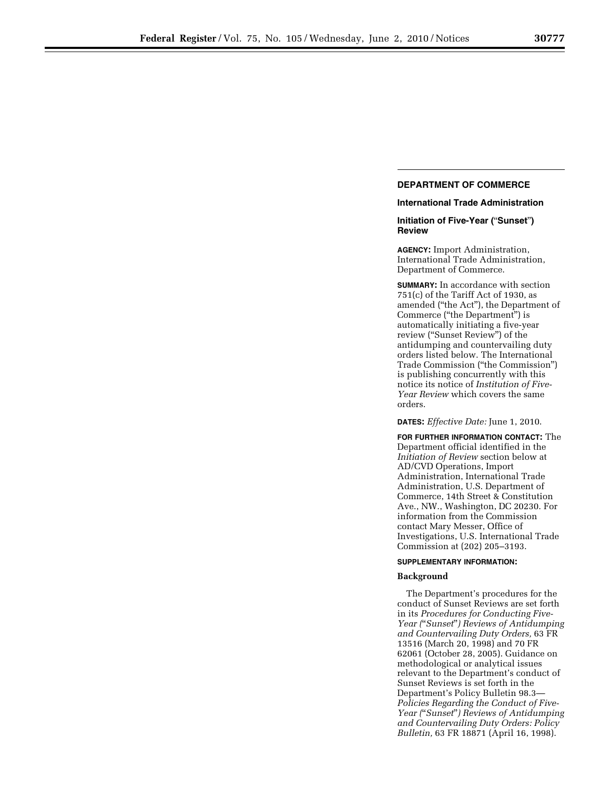## **DEPARTMENT OF COMMERCE**

# **International Trade Administration**

#### **Initiation of Five-Year (**''**Sunset**''**) Review**

**AGENCY:** Import Administration, International Trade Administration, Department of Commerce.

**SUMMARY:** In accordance with section 751(c) of the Tariff Act of 1930, as amended (''the Act''), the Department of Commerce (''the Department'') is automatically initiating a five-year review (''Sunset Review'') of the antidumping and countervailing duty orders listed below. The International Trade Commission (''the Commission'') is publishing concurrently with this notice its notice of *Institution of Five-Year Review* which covers the same orders.

**DATES:** *Effective Date:* June 1, 2010.

**FOR FURTHER INFORMATION CONTACT:** The Department official identified in the *Initiation of Review* section below at AD/CVD Operations, Import Administration, International Trade Administration, U.S. Department of Commerce, 14th Street & Constitution Ave., NW., Washington, DC 20230. For information from the Commission contact Mary Messer, Office of Investigations, U.S. International Trade Commission at (202) 205–3193.

#### **SUPPLEMENTARY INFORMATION:**

## **Background**

The Department's procedures for the conduct of Sunset Reviews are set forth in its *Procedures for Conducting Five-Year (*''*Sunset*''*) Reviews of Antidumping and Countervailing Duty Orders,* 63 FR 13516 (March 20, 1998) and 70 FR 62061 (October 28, 2005). Guidance on methodological or analytical issues relevant to the Department's conduct of Sunset Reviews is set forth in the Department's Policy Bulletin 98.3— *Policies Regarding the Conduct of Five-Year (*''*Sunset*''*) Reviews of Antidumping and Countervailing Duty Orders: Policy Bulletin,* 63 FR 18871 (April 16, 1998).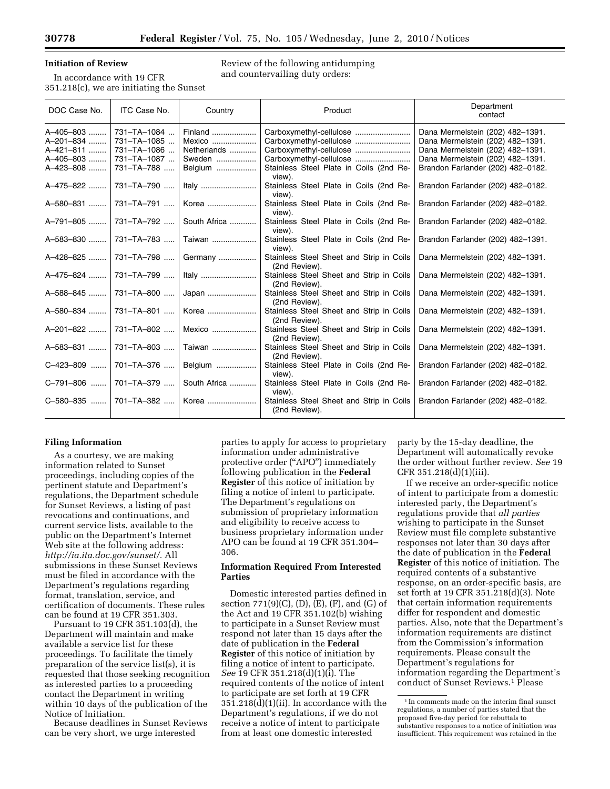# **Initiation of Review**

In accordance with 19 CFR 351.218(c), we are initiating the Sunset Review of the following antidumping and countervailing duty orders:

| DOC Case No.                                                  | ITC Case No.                                                           | Country                                               | Product                                                                                                 | Department<br>contact                                                                                                                                                             |
|---------------------------------------------------------------|------------------------------------------------------------------------|-------------------------------------------------------|---------------------------------------------------------------------------------------------------------|-----------------------------------------------------------------------------------------------------------------------------------------------------------------------------------|
| A-405-803<br>A-201-834<br>A-421-811<br>A-405-803<br>A-423-808 | 731-TA-1084<br>731-TA-1085<br>731-TA-1086<br>731-TA-1087<br>731-TA-788 | Finland<br>Mexico<br>Netherlands<br>Sweden<br>Belgium | Carboxymethyl-cellulose<br>Carboxymethyl-cellulose<br>Stainless Steel Plate in Coils (2nd Re-<br>view). | Dana Mermelstein (202) 482-1391.<br>Dana Mermelstein (202) 482-1391.<br>Dana Mermelstein (202) 482-1391.<br>Dana Mermelstein (202) 482-1391.<br>Brandon Farlander (202) 482-0182. |
| A-475-822                                                     | 731-TA-790                                                             | Italy                                                 | Stainless Steel Plate in Coils (2nd Re-<br>view).                                                       | Brandon Farlander (202) 482-0182.                                                                                                                                                 |
| A-580-831                                                     | 731-TA-791                                                             | Korea                                                 | Stainless Steel Plate in Coils (2nd Re-<br>view).                                                       | Brandon Farlander (202) 482-0182.                                                                                                                                                 |
| A-791-805                                                     | 731-TA-792                                                             | South Africa                                          | Stainless Steel Plate in Coils (2nd Re-<br>view).                                                       | Brandon Farlander (202) 482-0182.                                                                                                                                                 |
| A-583-830                                                     | 731-TA-783                                                             | Taiwan                                                | Stainless Steel Plate in Coils (2nd Re-<br>view).                                                       | Brandon Farlander (202) 482-1391.                                                                                                                                                 |
| A-428-825                                                     | 731-TA-798                                                             | Germany                                               | Stainless Steel Sheet and Strip in Coils<br>(2nd Review).                                               | Dana Mermelstein (202) 482-1391.                                                                                                                                                  |
| A-475-824                                                     | 731-TA-799                                                             | Italy                                                 | Stainless Steel Sheet and Strip in Coils<br>(2nd Review).                                               | Dana Mermelstein (202) 482-1391.                                                                                                                                                  |
| A-588-845                                                     | 731-TA-800                                                             | Japan                                                 | Stainless Steel Sheet and Strip in Coils<br>(2nd Review).                                               | Dana Mermelstein (202) 482-1391.                                                                                                                                                  |
| A-580-834                                                     | 731-TA-801                                                             | Korea                                                 | Stainless Steel Sheet and Strip in Coils<br>(2nd Review).                                               | Dana Mermelstein (202) 482-1391.                                                                                                                                                  |
| A-201-822                                                     | $731 - TA - 802$                                                       | Mexico                                                | Stainless Steel Sheet and Strip in Coils<br>(2nd Review).                                               | Dana Mermelstein (202) 482-1391.                                                                                                                                                  |
| A-583-831                                                     | 731-TA-803                                                             | Taiwan                                                | Stainless Steel Sheet and Strip in Coils<br>(2nd Review).                                               | Dana Mermelstein (202) 482-1391.                                                                                                                                                  |
| C-423-809                                                     | 701-TA-376                                                             | Belgium                                               | Stainless Steel Plate in Coils (2nd Re-<br>view).                                                       | Brandon Farlander (202) 482-0182.                                                                                                                                                 |
| C-791-806                                                     | 701-TA-379                                                             | South Africa                                          | Stainless Steel Plate in Coils (2nd Re-<br>view).                                                       | Brandon Farlander (202) 482-0182.                                                                                                                                                 |
| C-580-835                                                     | 701-TA-382                                                             | Korea                                                 | Stainless Steel Sheet and Strip in Coils<br>(2nd Review).                                               | Brandon Farlander (202) 482-0182.                                                                                                                                                 |

# **Filing Information**

As a courtesy, we are making information related to Sunset proceedings, including copies of the pertinent statute and Department's regulations, the Department schedule for Sunset Reviews, a listing of past revocations and continuations, and current service lists, available to the public on the Department's Internet Web site at the following address: *http://ia.ita.doc.gov/sunset/.* All submissions in these Sunset Reviews must be filed in accordance with the Department's regulations regarding format, translation, service, and certification of documents. These rules can be found at 19 CFR 351.303.

Pursuant to 19 CFR 351.103(d), the Department will maintain and make available a service list for these proceedings. To facilitate the timely preparation of the service list(s), it is requested that those seeking recognition as interested parties to a proceeding contact the Department in writing within 10 days of the publication of the Notice of Initiation.

Because deadlines in Sunset Reviews can be very short, we urge interested

parties to apply for access to proprietary information under administrative protective order (''APO'') immediately following publication in the **Federal Register** of this notice of initiation by filing a notice of intent to participate. The Department's regulations on submission of proprietary information and eligibility to receive access to business proprietary information under APO can be found at 19 CFR 351.304– 306.

#### **Information Required From Interested Parties**

Domestic interested parties defined in section 771(9)(C), (D), (E), (F), and (G) of the Act and 19 CFR 351.102(b) wishing to participate in a Sunset Review must respond not later than 15 days after the date of publication in the **Federal Register** of this notice of initiation by filing a notice of intent to participate. *See* 19 CFR 351.218(d)(1)(i). The required contents of the notice of intent to participate are set forth at 19 CFR 351.218(d)(1)(ii). In accordance with the Department's regulations, if we do not receive a notice of intent to participate from at least one domestic interested

party by the 15-day deadline, the Department will automatically revoke the order without further review. *See* 19 CFR 351.218(d)(1)(iii).

If we receive an order-specific notice of intent to participate from a domestic interested party, the Department's regulations provide that *all parties*  wishing to participate in the Sunset Review must file complete substantive responses not later than 30 days after the date of publication in the **Federal Register** of this notice of initiation. The required contents of a substantive response, on an order-specific basis, are set forth at 19 CFR 351.218(d)(3). Note that certain information requirements differ for respondent and domestic parties. Also, note that the Department's information requirements are distinct from the Commission's information requirements. Please consult the Department's regulations for information regarding the Department's conduct of Sunset Reviews.1 Please

 $^{\rm 1}$  In comments made on the interim final sunset regulations, a number of parties stated that the proposed five-day period for rebuttals to substantive responses to a notice of initiation was insufficient. This requirement was retained in the